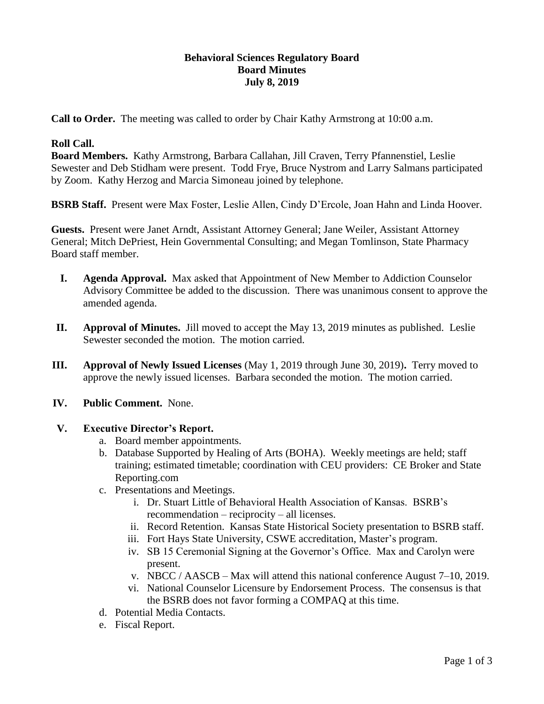### **Behavioral Sciences Regulatory Board Board Minutes July 8, 2019**

**Call to Order.** The meeting was called to order by Chair Kathy Armstrong at 10:00 a.m.

### **Roll Call.**

**Board Members.** Kathy Armstrong, Barbara Callahan, Jill Craven, Terry Pfannenstiel, Leslie Sewester and Deb Stidham were present. Todd Frye, Bruce Nystrom and Larry Salmans participated by Zoom. Kathy Herzog and Marcia Simoneau joined by telephone.

**BSRB Staff.** Present were Max Foster, Leslie Allen, Cindy D'Ercole, Joan Hahn and Linda Hoover.

**Guests.** Present were Janet Arndt, Assistant Attorney General; Jane Weiler, Assistant Attorney General; Mitch DePriest, Hein Governmental Consulting; and Megan Tomlinson, State Pharmacy Board staff member.

- **I. Agenda Approval.** Max asked that Appointment of New Member to Addiction Counselor Advisory Committee be added to the discussion. There was unanimous consent to approve the amended agenda.
- **II. Approval of Minutes.** Jill moved to accept the May 13, 2019 minutes as published. Leslie Sewester seconded the motion. The motion carried.
- **III. Approval of Newly Issued Licenses** (May 1, 2019 through June 30, 2019)**.** Terry moved to approve the newly issued licenses. Barbara seconded the motion. The motion carried.
- **IV. Public Comment.** None.

#### **V. Executive Director's Report.**

- a. Board member appointments.
- b. Database Supported by Healing of Arts (BOHA). Weekly meetings are held; staff training; estimated timetable; coordination with CEU providers: CE Broker and State Reporting.com
- c. Presentations and Meetings.
	- i. Dr. Stuart Little of Behavioral Health Association of Kansas. BSRB's recommendation – reciprocity – all licenses.
	- ii. Record Retention. Kansas State Historical Society presentation to BSRB staff.
	- iii. Fort Hays State University, CSWE accreditation, Master's program.
	- iv. SB 15 Ceremonial Signing at the Governor's Office. Max and Carolyn were present.
	- v. NBCC / AASCB Max will attend this national conference August 7–10, 2019.
	- vi. National Counselor Licensure by Endorsement Process. The consensus is that the BSRB does not favor forming a COMPAQ at this time.
- d. Potential Media Contacts.
- e. Fiscal Report.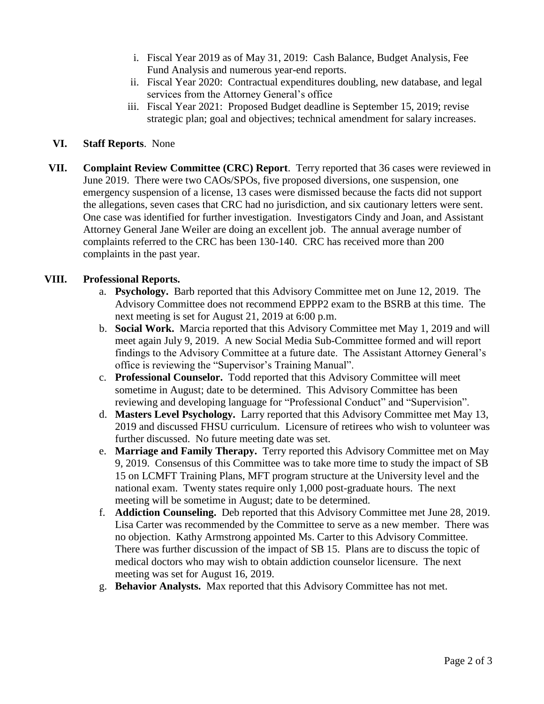- i. Fiscal Year 2019 as of May 31, 2019: Cash Balance, Budget Analysis, Fee Fund Analysis and numerous year-end reports.
- ii. Fiscal Year 2020: Contractual expenditures doubling, new database, and legal services from the Attorney General's office
- iii. Fiscal Year 2021: Proposed Budget deadline is September 15, 2019; revise strategic plan; goal and objectives; technical amendment for salary increases.

# **VI. Staff Reports**. None

**VII. Complaint Review Committee (CRC) Report**. Terry reported that 36 cases were reviewed in June 2019. There were two CAOs/SPOs, five proposed diversions, one suspension, one emergency suspension of a license, 13 cases were dismissed because the facts did not support the allegations, seven cases that CRC had no jurisdiction, and six cautionary letters were sent. One case was identified for further investigation. Investigators Cindy and Joan, and Assistant Attorney General Jane Weiler are doing an excellent job. The annual average number of complaints referred to the CRC has been 130-140. CRC has received more than 200 complaints in the past year.

# **VIII. Professional Reports.**

- a. **Psychology.** Barb reported that this Advisory Committee met on June 12, 2019. The Advisory Committee does not recommend EPPP2 exam to the BSRB at this time. The next meeting is set for August 21, 2019 at 6:00 p.m.
- b. **Social Work.** Marcia reported that this Advisory Committee met May 1, 2019 and will meet again July 9, 2019. A new Social Media Sub-Committee formed and will report findings to the Advisory Committee at a future date. The Assistant Attorney General's office is reviewing the "Supervisor's Training Manual".
- c. **Professional Counselor.** Todd reported that this Advisory Committee will meet sometime in August; date to be determined. This Advisory Committee has been reviewing and developing language for "Professional Conduct" and "Supervision".
- d. **Masters Level Psychology.** Larry reported that this Advisory Committee met May 13, 2019 and discussed FHSU curriculum. Licensure of retirees who wish to volunteer was further discussed. No future meeting date was set.
- e. **Marriage and Family Therapy.** Terry reported this Advisory Committee met on May 9, 2019. Consensus of this Committee was to take more time to study the impact of SB 15 on LCMFT Training Plans, MFT program structure at the University level and the national exam. Twenty states require only 1,000 post-graduate hours. The next meeting will be sometime in August; date to be determined.
- f. **Addiction Counseling.** Deb reported that this Advisory Committee met June 28, 2019. Lisa Carter was recommended by the Committee to serve as a new member. There was no objection. Kathy Armstrong appointed Ms. Carter to this Advisory Committee. There was further discussion of the impact of SB 15. Plans are to discuss the topic of medical doctors who may wish to obtain addiction counselor licensure. The next meeting was set for August 16, 2019.
- g. **Behavior Analysts.** Max reported that this Advisory Committee has not met.